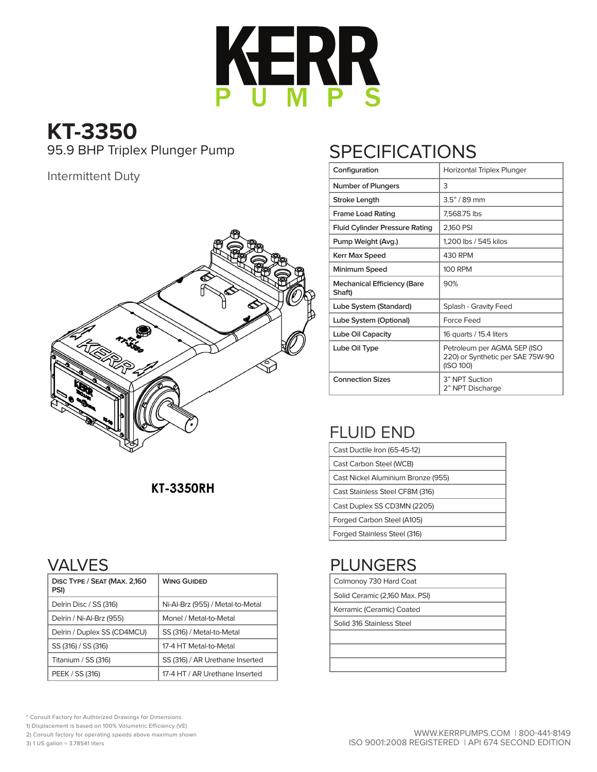

# **KT-3350**

#### Intermittent Duty



### **KT-3350RH**

### VALVES

| DISC TYPE / SEAT (MAX. 2,160<br>PSI) | <b>WING GUIDED</b>               |
|--------------------------------------|----------------------------------|
| Delrin Disc / SS (316)               | Ni-Al-Brz (955) / Metal-to-Metal |
| Delrin / Ni-Al-Brz (955)             | Monel / Metal-to-Metal           |
| Delrin / Duplex SS (CD4MCU)          | SS (316) / Metal-to-Metal        |
| SS (316) / SS (316)                  | 17-4 HT Metal-to-Metal           |
| Titanium / SS (316)                  | SS (316) / AR Urethane Inserted  |
| PEEK / SS (316)                      | 17-4 HT / AR Urethane Inserted   |

# 95.9 BHP Triplex Plunger Pump SPECIFICATIONS

| Configuration                                | Horizontal Triplex Plunger                                                   |
|----------------------------------------------|------------------------------------------------------------------------------|
| <b>Number of Plungers</b>                    | 3                                                                            |
| <b>Stroke Length</b>                         | $3.5" / 89$ mm                                                               |
| <b>Frame Load Rating</b>                     | 7,568.75 lbs                                                                 |
| <b>Fluid Cylinder Pressure Rating</b>        | 2,160 PSI                                                                    |
| Pump Weight (Avg.)                           | 1,200 lbs / 545 kilos                                                        |
| <b>Kerr Max Speed</b>                        | 430 RPM                                                                      |
| Minimum Speed                                | 100 RPM                                                                      |
| <b>Mechanical Efficiency (Bare</b><br>Shaft) | 90%                                                                          |
| Lube System (Standard)                       | Splash - Gravity Feed                                                        |
| Lube System (Optional)                       | Force Feed                                                                   |
| Lube Oil Capacity                            | 16 quarts / 15.4 liters                                                      |
| Lube Oil Type                                | Petroleum per AGMA 5EP (ISO<br>220) or Synthetic per SAE 75W-90<br>(ISO 100) |
| <b>Connection Sizes</b>                      | 3" NPT Suction<br>2" NPT Discharge                                           |

# FLUID END

| Cast Ductile Iron (65-45-12)       |
|------------------------------------|
| Cast Carbon Steel (WCB)            |
| Cast Nickel Aluminium Bronze (955) |
| Cast Stainless Steel CF8M (316)    |
| Cast Duplex SS CD3MN (2205)        |
| Forged Carbon Steel (A105)         |
| Forged Stainless Steel (316)       |

# PLUNGERS

| Colmonoy 730 Hard Coat |
|------------------------|
|                        |

- Solid Ceramic (2,160 Max. PSI)
- Kerramic (Ceramic) Coated

Solid 316 Stainless Steel

\* Consult Factory for Authorized Drawings for Dimensions

1) Displacement is based on 100% Volumetric Efficiency (VE)

2) Consult factory for operating speeds above maximum shown

3) 1 US gallon = 3.78541 liters